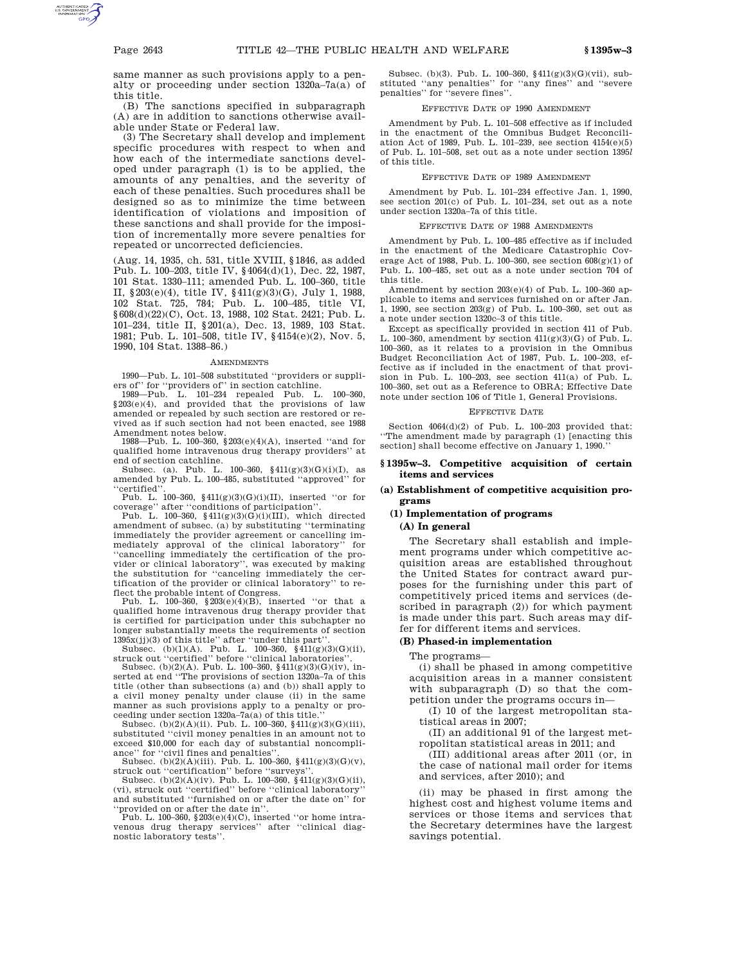same manner as such provisions apply to a penalty or proceeding under section 1320a–7a(a) of this title.

(B) The sanctions specified in subparagraph (A) are in addition to sanctions otherwise available under State or Federal law.

(3) The Secretary shall develop and implement specific procedures with respect to when and how each of the intermediate sanctions developed under paragraph (1) is to be applied, the amounts of any penalties, and the severity of each of these penalties. Such procedures shall be designed so as to minimize the time between identification of violations and imposition of these sanctions and shall provide for the imposition of incrementally more severe penalties for repeated or uncorrected deficiencies.

(Aug. 14, 1935, ch. 531, title XVIII, §1846, as added Pub. L. 100–203, title IV, §4064(d)(1), Dec. 22, 1987, 101 Stat. 1330–111; amended Pub. L. 100–360, title II, §203(e)(4), title IV, §411(g)(3)(G), July 1, 1988, 102 Stat. 725, 784; Pub. L. 100–485, title VI, §608(d)(22)(C), Oct. 13, 1988, 102 Stat. 2421; Pub. L. 101–234, title II, §201(a), Dec. 13, 1989, 103 Stat. 1981; Pub. L. 101–508, title IV, §4154(e)(2), Nov. 5, 1990, 104 Stat. 1388–86.)

### AMENDMENTS

1990—Pub. L. 101–508 substituted ''providers or suppli-

ers of'' for ''providers of'' in section catchline. 1989—Pub. L. 101–234 repealed Pub. L. 100–360, §203(e)(4), and provided that the provisions of law amended or repealed by such section are restored or revived as if such section had not been enacted, see 1988 Amendment notes below.

1988—Pub. L. 100–360, §203(e)(4)(A), inserted ''and for qualified home intravenous drug therapy providers'' at end of section catchline.

Subsec. (a). Pub. L.  $100-360$ ,  $$411(g)(3)(G)(i)(I)$ , as amended by Pub. L.  $100-485$ , substituted "approved" for ''certified''.

Pub. L. 100–360, §411(g)(3)(G)(i)(II), inserted ''or for coverage'' after ''conditions of participation''. Pub. L. 100–360, §411(g)(3)(G)(i)(III), which directed

amendment of subsec. (a) by substituting ''terminating immediately the provider agreement or cancelling im-mediately approval of the clinical laboratory'' for ''cancelling immediately the certification of the provider or clinical laboratory'', was executed by making the substitution for ''canceling immediately the cer-tification of the provider or clinical laboratory'' to re-

flect the probable intent of Congress. Pub. L. 100–360, §203(e)(4)(B), inserted ''or that a qualified home intravenous drug therapy provider that is certified for participation under this subchapter no longer substantially meets the requirements of section  $1395x(j)(3)$  of this title'' after "under this part"

Subsec. (b)(1)(A). Pub. L. 100–360, §411(g)(3)(G)(ii), struck out "certified" before "clinical laboratories".

Subsec. (b)(2)(A). Pub. L. 100–360, §411(g)(3)(G)(iv), inserted at end ''The provisions of section 1320a–7a of this title (other than subsections (a) and (b)) shall apply to a civil money penalty under clause (ii) in the same manner as such provisions apply to a penalty or pro-

ceeding under section  $1320a-7a(a)$  of this title."<br>Subsec.  $(b)(2)(A)(ii)$ . Pub. L.  $100-360$ ,  $$411(g)(3)(G)(iii)$ , substituted ''civil money penalties in an amount not to exceed \$10,000 for each day of substantial noncompliance'' for ''civil fines and penalties''.

Subsec. (b)(2)(A)(iii). Pub. L. 100–360, §411(g)(3)(G)(v), struck out "certification" before "surveys'

Subsec. (b)(2)(A)(iv). Pub. L. 100–360, §411(g)(3)(G)(ii), (vi), struck out ''certified'' before ''clinical laboratory'' and substituted ''furnished on or after the date on'' for ''provided on or after the date in''.

Pub. L. 100–360, §203(e)(4)(C), inserted ''or home intra-venous drug therapy services'' after ''clinical diagnostic laboratory tests''.

Subsec. (b)(3). Pub. L. 100–360, §411(g)(3)(G)(vii), substituted ''any penalties'' for ''any fines'' and ''severe penalties'' for ''severe fines''.

### EFFECTIVE DATE OF 1990 AMENDMENT

Amendment by Pub. L. 101–508 effective as if included in the enactment of the Omnibus Budget Reconciliation Act of 1989, Pub. L. 101–239, see section 4154(e)(5) of Pub. L. 101–508, set out as a note under section 1395*l* of this title.

#### EFFECTIVE DATE OF 1989 AMENDMENT

Amendment by Pub. L. 101–234 effective Jan. 1, 1990, see section 201(c) of Pub. L. 101–234, set out as a note under section 1320a–7a of this title.

### EFFECTIVE DATE OF 1988 AMENDMENTS

Amendment by Pub. L. 100–485 effective as if included in the enactment of the Medicare Catastrophic Coverage Act of 1988, Pub. L. 100-360, see section  $608(g)(1)$  of Pub. L. 100–485, set out as a note under section 704 of this title.

Amendment by section 203(e)(4) of Pub. L. 100–360 applicable to items and services furnished on or after Jan. 1, 1990, see section 203(g) of Pub. L. 100–360, set out as a note under section 1320c–3 of this title.

Except as specifically provided in section 411 of Pub. L. 100–360, amendment by section  $411(g)(3)(G)$  of Pub. L. 100–360, as it relates to a provision in the Omnibus Budget Reconciliation Act of 1987, Pub. L. 100–203, effective as if included in the enactment of that provision in Pub. L.  $100-203$ , see section  $411(a)$  of Pub. L. 100–360, set out as a Reference to OBRA; Effective Date note under section 106 of Title 1, General Provisions.

#### EFFECTIVE DATE

Section 4064(d)(2) of Pub. L. 100–203 provided that: ''The amendment made by paragraph (1) [enacting this section] shall become effective on January 1, 1990.''

### **§ 1395w–3. Competitive acquisition of certain items and services**

### **(a) Establishment of competitive acquisition programs**

## **(1) Implementation of programs**

## **(A) In general**

The Secretary shall establish and implement programs under which competitive acquisition areas are established throughout the United States for contract award purposes for the furnishing under this part of competitively priced items and services (described in paragraph (2)) for which payment is made under this part. Such areas may differ for different items and services.

## **(B) Phased-in implementation**

### The programs—

(i) shall be phased in among competitive acquisition areas in a manner consistent with subparagraph (D) so that the competition under the programs occurs in—

(I) 10 of the largest metropolitan statistical areas in 2007;

(II) an additional 91 of the largest metropolitan statistical areas in 2011; and

(III) additional areas after 2011 (or, in the case of national mail order for items and services, after 2010); and

(ii) may be phased in first among the highest cost and highest volume items and services or those items and services that the Secretary determines have the largest savings potential.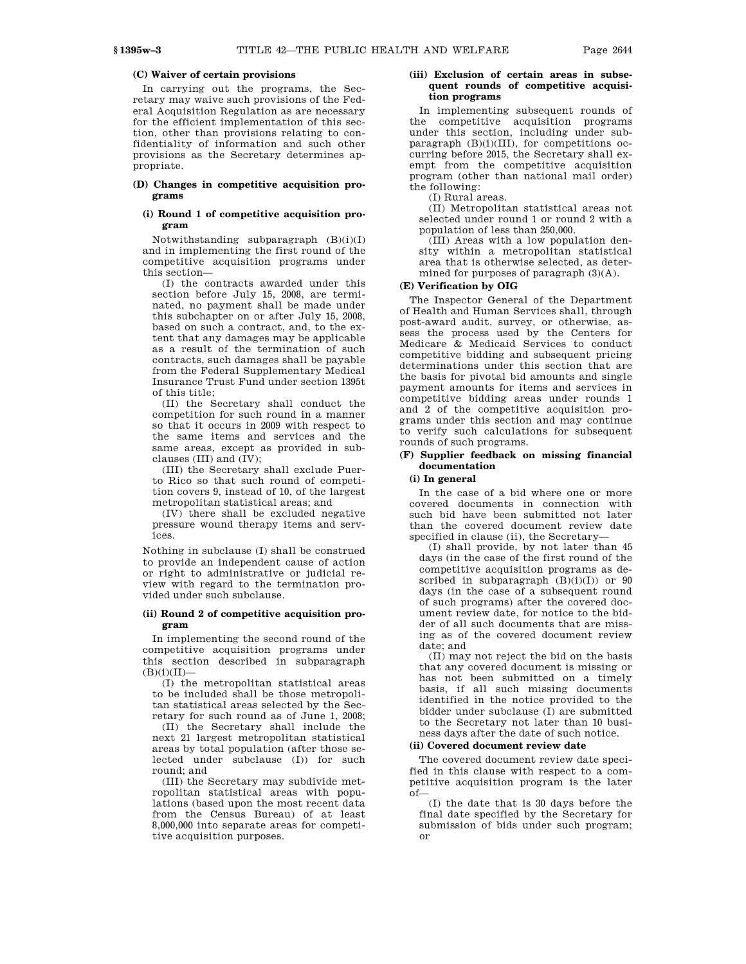## **(C) Waiver of certain provisions**

In carrying out the programs, the Secretary may waive such provisions of the Federal Acquisition Regulation as are necessary for the efficient implementation of this section, other than provisions relating to confidentiality of information and such other provisions as the Secretary determines appropriate.

### **(D) Changes in competitive acquisition programs**

## **(i) Round 1 of competitive acquisition program**

Notwithstanding subparagraph (B)(i)(I) and in implementing the first round of the competitive acquisition programs under this section—

(I) the contracts awarded under this section before July 15, 2008, are terminated, no payment shall be made under this subchapter on or after July 15, 2008, based on such a contract, and, to the extent that any damages may be applicable as a result of the termination of such contracts, such damages shall be payable from the Federal Supplementary Medical Insurance Trust Fund under section 1395t of this title;

(II) the Secretary shall conduct the competition for such round in a manner so that it occurs in 2009 with respect to the same items and services and the same areas, except as provided in subclauses (III) and (IV);

(III) the Secretary shall exclude Puerto Rico so that such round of competition covers 9, instead of 10, of the largest metropolitan statistical areas; and

(IV) there shall be excluded negative pressure wound therapy items and services.

Nothing in subclause (I) shall be construed to provide an independent cause of action or right to administrative or judicial review with regard to the termination provided under such subclause.

## **(ii) Round 2 of competitive acquisition program**

In implementing the second round of the competitive acquisition programs under this section described in subparagraph  $(B)(i)(II)$ —

(I) the metropolitan statistical areas to be included shall be those metropolitan statistical areas selected by the Secretary for such round as of June 1, 2008;

(II) the Secretary shall include the next 21 largest metropolitan statistical areas by total population (after those selected under subclause (I)) for such round; and

(III) the Secretary may subdivide metropolitan statistical areas with populations (based upon the most recent data from the Census Bureau) of at least 8,000,000 into separate areas for competitive acquisition purposes.

## **(iii) Exclusion of certain areas in subsequent rounds of competitive acquisition programs**

In implementing subsequent rounds of the competitive acquisition programs under this section, including under subparagraph (B)(i)(III), for competitions occurring before 2015, the Secretary shall exempt from the competitive acquisition program (other than national mail order) the following:

(I) Rural areas.

(II) Metropolitan statistical areas not selected under round 1 or round 2 with a population of less than 250,000.

(III) Areas with a low population density within a metropolitan statistical area that is otherwise selected, as determined for purposes of paragraph (3)(A).

## **(E) Verification by OIG**

The Inspector General of the Department of Health and Human Services shall, through post-award audit, survey, or otherwise, assess the process used by the Centers for Medicare & Medicaid Services to conduct competitive bidding and subsequent pricing determinations under this section that are the basis for pivotal bid amounts and single payment amounts for items and services in competitive bidding areas under rounds 1 and 2 of the competitive acquisition programs under this section and may continue to verify such calculations for subsequent rounds of such programs.

## **(F) Supplier feedback on missing financial documentation**

### **(i) In general**

In the case of a bid where one or more covered documents in connection with such bid have been submitted not later than the covered document review date specified in clause (ii), the Secretary—

(I) shall provide, by not later than 45 days (in the case of the first round of the competitive acquisition programs as described in subparagraph  $(B)(i)(I))$  or 90 days (in the case of a subsequent round of such programs) after the covered document review date, for notice to the bidder of all such documents that are missing as of the covered document review date; and

(II) may not reject the bid on the basis that any covered document is missing or has not been submitted on a timely basis, if all such missing documents identified in the notice provided to the bidder under subclause (I) are submitted to the Secretary not later than 10 business days after the date of such notice.

## **(ii) Covered document review date**

The covered document review date specified in this clause with respect to a competitive acquisition program is the later of—

(I) the date that is 30 days before the final date specified by the Secretary for submission of bids under such program; or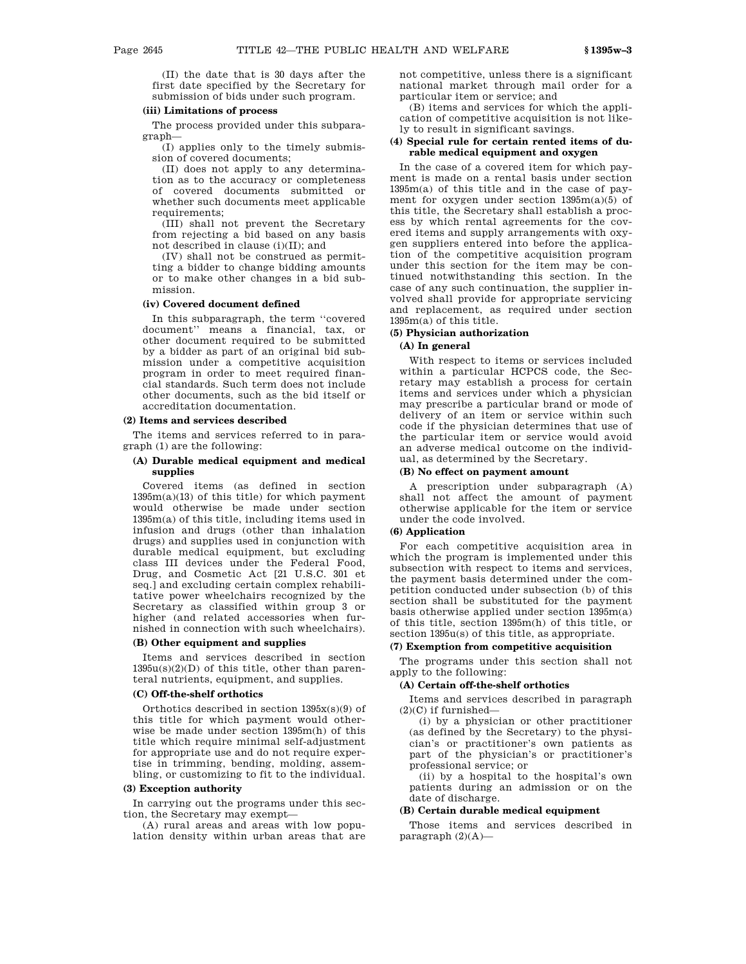(II) the date that is 30 days after the first date specified by the Secretary for submission of bids under such program.

## **(iii) Limitations of process**

The process provided under this subparagraph—

(I) applies only to the timely submission of covered documents;

(II) does not apply to any determination as to the accuracy or completeness of covered documents submitted or whether such documents meet applicable requirements:

(III) shall not prevent the Secretary from rejecting a bid based on any basis not described in clause (i)(II); and

(IV) shall not be construed as permitting a bidder to change bidding amounts or to make other changes in a bid submission.

#### **(iv) Covered document defined**

In this subparagraph, the term ''covered document'' means a financial, tax, or other document required to be submitted by a bidder as part of an original bid submission under a competitive acquisition program in order to meet required financial standards. Such term does not include other documents, such as the bid itself or accreditation documentation.

## **(2) Items and services described**

The items and services referred to in paragraph (1) are the following:

## **(A) Durable medical equipment and medical supplies**

Covered items (as defined in section 1395m(a)(13) of this title) for which payment would otherwise be made under section 1395m(a) of this title, including items used in infusion and drugs (other than inhalation drugs) and supplies used in conjunction with durable medical equipment, but excluding class III devices under the Federal Food, Drug, and Cosmetic Act [21 U.S.C. 301 et seq.] and excluding certain complex rehabilitative power wheelchairs recognized by the Secretary as classified within group 3 or higher (and related accessories when furnished in connection with such wheelchairs).

## **(B) Other equipment and supplies**

Items and services described in section  $1395u(s)(2)(D)$  of this title, other than parenteral nutrients, equipment, and supplies.

### **(C) Off-the-shelf orthotics**

Orthotics described in section 1395x(s)(9) of this title for which payment would otherwise be made under section 1395m(h) of this title which require minimal self-adjustment for appropriate use and do not require expertise in trimming, bending, molding, assembling, or customizing to fit to the individual.

### **(3) Exception authority**

In carrying out the programs under this section, the Secretary may exempt—

(A) rural areas and areas with low population density within urban areas that are not competitive, unless there is a significant national market through mail order for a particular item or service; and

(B) items and services for which the application of competitive acquisition is not likely to result in significant savings.

## **(4) Special rule for certain rented items of durable medical equipment and oxygen**

In the case of a covered item for which payment is made on a rental basis under section 1395m(a) of this title and in the case of payment for oxygen under section 1395m(a)(5) of this title, the Secretary shall establish a process by which rental agreements for the covered items and supply arrangements with oxygen suppliers entered into before the application of the competitive acquisition program under this section for the item may be continued notwithstanding this section. In the case of any such continuation, the supplier involved shall provide for appropriate servicing and replacement, as required under section 1395m(a) of this title.

## **(5) Physician authorization**

## **(A) In general**

With respect to items or services included within a particular HCPCS code, the Secretary may establish a process for certain items and services under which a physician may prescribe a particular brand or mode of delivery of an item or service within such code if the physician determines that use of the particular item or service would avoid an adverse medical outcome on the individual, as determined by the Secretary.

### **(B) No effect on payment amount**

A prescription under subparagraph (A) shall not affect the amount of payment otherwise applicable for the item or service under the code involved.

## **(6) Application**

For each competitive acquisition area in which the program is implemented under this subsection with respect to items and services, the payment basis determined under the competition conducted under subsection (b) of this section shall be substituted for the payment basis otherwise applied under section 1395m(a) of this title, section 1395m(h) of this title, or section 1395u(s) of this title, as appropriate.

#### **(7) Exemption from competitive acquisition**

The programs under this section shall not apply to the following:

### **(A) Certain off-the-shelf orthotics**

Items and services described in paragraph  $(2)(C)$  if furnished-

(i) by a physician or other practitioner (as defined by the Secretary) to the physician's or practitioner's own patients as part of the physician's or practitioner's professional service; or

(ii) by a hospital to the hospital's own patients during an admission or on the date of discharge.

# **(B) Certain durable medical equipment**

Those items and services described in paragraph (2)(A)—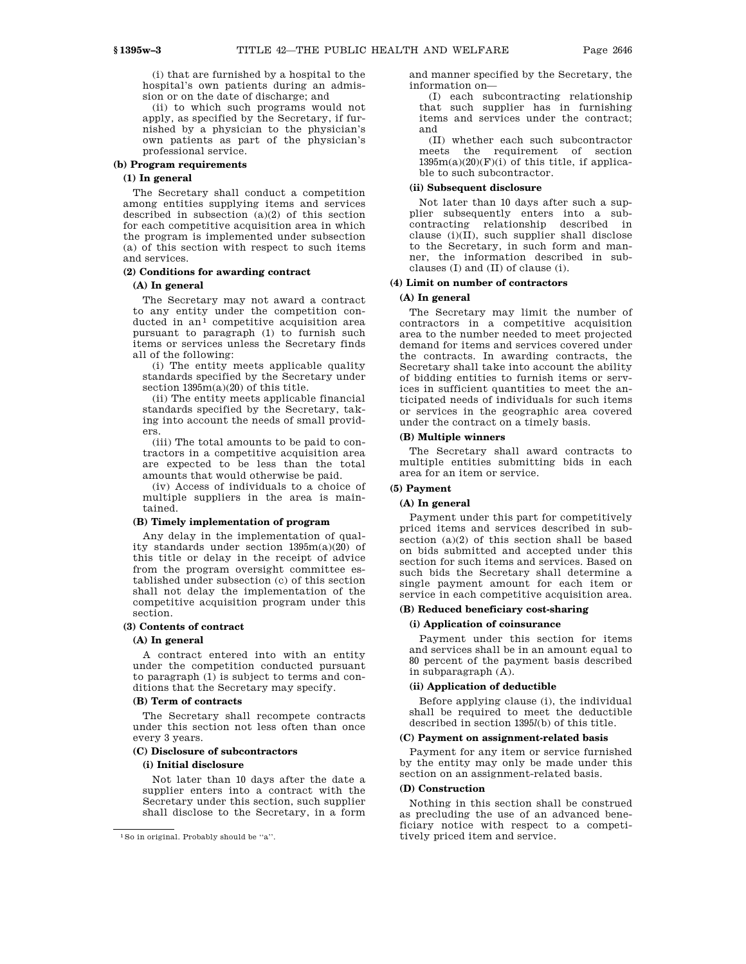(i) that are furnished by a hospital to the hospital's own patients during an admission or on the date of discharge; and

(ii) to which such programs would not apply, as specified by the Secretary, if furnished by a physician to the physician's own patients as part of the physician's professional service.

# **(b) Program requirements**

## **(1) In general**

The Secretary shall conduct a competition among entities supplying items and services described in subsection (a)(2) of this section for each competitive acquisition area in which the program is implemented under subsection (a) of this section with respect to such items and services.

## **(2) Conditions for awarding contract**

## **(A) In general**

The Secretary may not award a contract to any entity under the competition conducted in an<sup>1</sup> competitive acquisition area pursuant to paragraph (1) to furnish such items or services unless the Secretary finds all of the following:

(i) The entity meets applicable quality standards specified by the Secretary under section  $1395m(a)(20)$  of this title.

(ii) The entity meets applicable financial standards specified by the Secretary, taking into account the needs of small providers.

(iii) The total amounts to be paid to contractors in a competitive acquisition area are expected to be less than the total amounts that would otherwise be paid.

(iv) Access of individuals to a choice of multiple suppliers in the area is maintained.

## **(B) Timely implementation of program**

Any delay in the implementation of quality standards under section 1395m(a)(20) of this title or delay in the receipt of advice from the program oversight committee established under subsection (c) of this section shall not delay the implementation of the competitive acquisition program under this section.

## **(3) Contents of contract**

## **(A) In general**

A contract entered into with an entity under the competition conducted pursuant to paragraph (1) is subject to terms and conditions that the Secretary may specify.

## **(B) Term of contracts**

The Secretary shall recompete contracts under this section not less often than once every 3 years.

### **(C) Disclosure of subcontractors**

### **(i) Initial disclosure**

Not later than 10 days after the date a supplier enters into a contract with the Secretary under this section, such supplier shall disclose to the Secretary, in a form

and manner specified by the Secretary, the information on—

(I) each subcontracting relationship that such supplier has in furnishing items and services under the contract; and

(II) whether each such subcontractor meets the requirement of section  $1395m(a)(20)(F)(i)$  of this title, if applicable to such subcontractor.

### **(ii) Subsequent disclosure**

Not later than 10 days after such a supplier subsequently enters into a subcontracting relationship described in clause (i)(II), such supplier shall disclose to the Secretary, in such form and manner, the information described in subclauses (I) and (II) of clause (i).

## **(4) Limit on number of contractors**

### **(A) In general**

The Secretary may limit the number of contractors in a competitive acquisition area to the number needed to meet projected demand for items and services covered under the contracts. In awarding contracts, the Secretary shall take into account the ability of bidding entities to furnish items or services in sufficient quantities to meet the anticipated needs of individuals for such items or services in the geographic area covered under the contract on a timely basis.

### **(B) Multiple winners**

The Secretary shall award contracts to multiple entities submitting bids in each area for an item or service.

## **(5) Payment**

### **(A) In general**

Payment under this part for competitively priced items and services described in subsection  $(a)(2)$  of this section shall be based on bids submitted and accepted under this section for such items and services. Based on such bids the Secretary shall determine a single payment amount for each item or service in each competitive acquisition area.

## **(B) Reduced beneficiary cost-sharing**

## **(i) Application of coinsurance**

Payment under this section for items and services shall be in an amount equal to 80 percent of the payment basis described in subparagraph (A).

### **(ii) Application of deductible**

Before applying clause (i), the individual shall be required to meet the deductible described in section 1395*l*(b) of this title.

### **(C) Payment on assignment-related basis**

Payment for any item or service furnished by the entity may only be made under this section on an assignment-related basis.

## **(D) Construction**

Nothing in this section shall be construed as precluding the use of an advanced beneficiary notice with respect to a competitively priced item and service.

<sup>1</sup>So in original. Probably should be ''a''.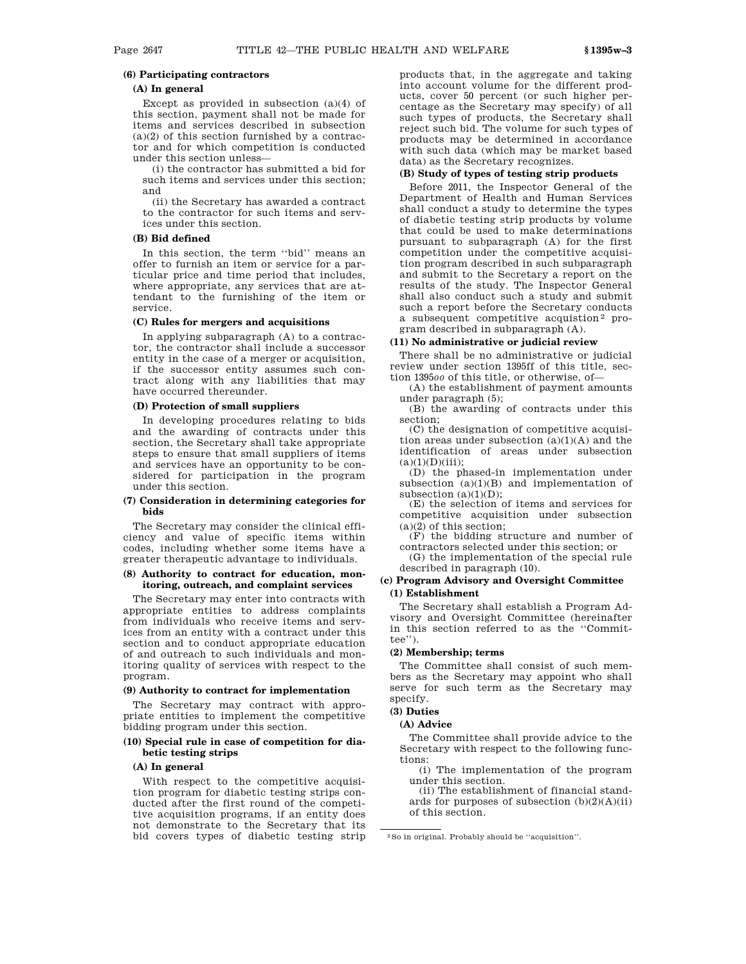## **(A) In general**

Except as provided in subsection (a)(4) of this section, payment shall not be made for items and services described in subsection  $(a)(2)$  of this section furnished by a contractor and for which competition is conducted under this section unless—

(i) the contractor has submitted a bid for such items and services under this section; and

(ii) the Secretary has awarded a contract to the contractor for such items and services under this section.

## **(B) Bid defined**

In this section, the term ''bid'' means an offer to furnish an item or service for a particular price and time period that includes, where appropriate, any services that are attendant to the furnishing of the item or service.

## **(C) Rules for mergers and acquisitions**

In applying subparagraph (A) to a contractor, the contractor shall include a successor entity in the case of a merger or acquisition, if the successor entity assumes such contract along with any liabilities that may have occurred thereunder.

## **(D) Protection of small suppliers**

In developing procedures relating to bids and the awarding of contracts under this section, the Secretary shall take appropriate steps to ensure that small suppliers of items and services have an opportunity to be considered for participation in the program under this section.

## **(7) Consideration in determining categories for bids**

The Secretary may consider the clinical efficiency and value of specific items within codes, including whether some items have a greater therapeutic advantage to individuals.

## **(8) Authority to contract for education, monitoring, outreach, and complaint services**

The Secretary may enter into contracts with appropriate entities to address complaints from individuals who receive items and services from an entity with a contract under this section and to conduct appropriate education of and outreach to such individuals and monitoring quality of services with respect to the program.

## **(9) Authority to contract for implementation**

The Secretary may contract with appropriate entities to implement the competitive bidding program under this section.

### **(10) Special rule in case of competition for diabetic testing strips**

#### **(A) In general**

With respect to the competitive acquisition program for diabetic testing strips conducted after the first round of the competitive acquisition programs, if an entity does not demonstrate to the Secretary that its bid covers types of diabetic testing strip products that, in the aggregate and taking into account volume for the different products, cover 50 percent (or such higher percentage as the Secretary may specify) of all such types of products, the Secretary shall reject such bid. The volume for such types of products may be determined in accordance with such data (which may be market based data) as the Secretary recognizes.

## **(B) Study of types of testing strip products**

Before 2011, the Inspector General of the Department of Health and Human Services shall conduct a study to determine the types of diabetic testing strip products by volume that could be used to make determinations pursuant to subparagraph (A) for the first competition under the competitive acquisition program described in such subparagraph and submit to the Secretary a report on the results of the study. The Inspector General shall also conduct such a study and submit such a report before the Secretary conducts a subsequent competitive acquistion2 program described in subparagraph (A).

### **(11) No administrative or judicial review**

There shall be no administrative or judicial review under section 1395ff of this title, section 1395*oo* of this title, or otherwise, of—

(A) the establishment of payment amounts under paragraph (5);

(B) the awarding of contracts under this section;

(C) the designation of competitive acquisition areas under subsection  $(a)(1)(A)$  and the identification of areas under subsection  $(a)(1)(D)(iii)$ ;

(D) the phased-in implementation under subsection (a)(1)(B) and implementation of subsection  $(a)(1)(D)$ ;

(E) the selection of items and services for competitive acquisition under subsection (a)(2) of this section;

(F) the bidding structure and number of contractors selected under this section; or

(G) the implementation of the special rule described in paragraph (10).

## **(c) Program Advisory and Oversight Committee (1) Establishment**

The Secretary shall establish a Program Advisory and Oversight Committee (hereinafter in this section referred to as the ''Committee'').

## **(2) Membership; terms**

The Committee shall consist of such members as the Secretary may appoint who shall serve for such term as the Secretary may specify.

## **(3) Duties**

## **(A) Advice**

The Committee shall provide advice to the Secretary with respect to the following functions:

(i) The implementation of the program under this section.

(ii) The establishment of financial standards for purposes of subsection  $(b)(2)(A)(ii)$ of this section.

<sup>2</sup>So in original. Probably should be ''acquisition''.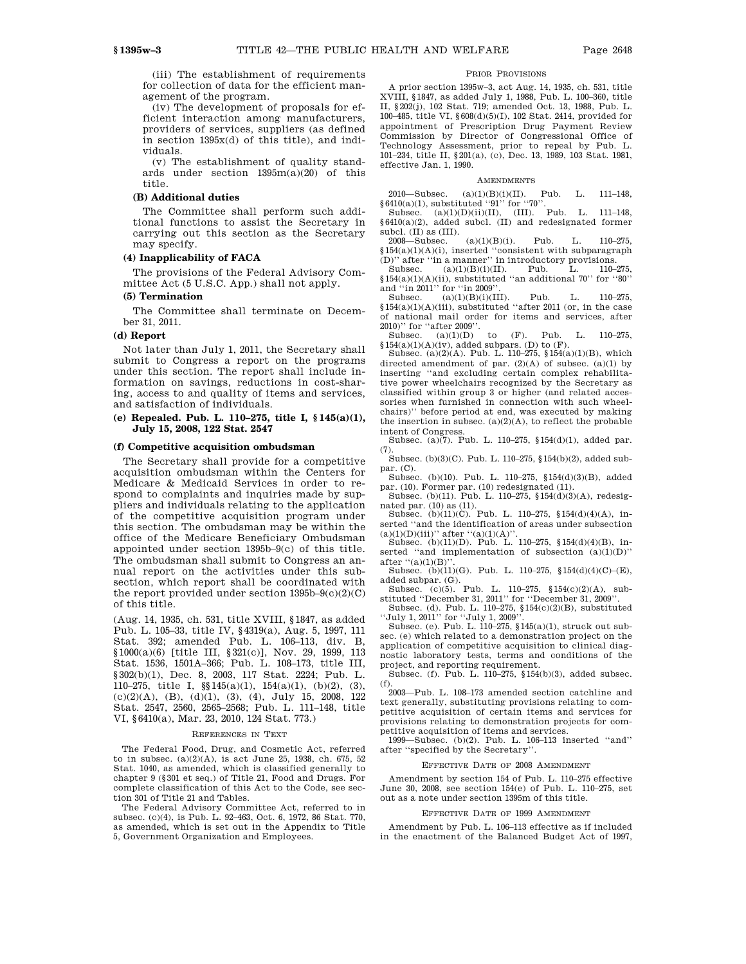(iii) The establishment of requirements for collection of data for the efficient management of the program.

(iv) The development of proposals for efficient interaction among manufacturers, providers of services, suppliers (as defined in section 1395x(d) of this title), and individuals.

(v) The establishment of quality standards under section 1395m(a)(20) of this title.

#### **(B) Additional duties**

The Committee shall perform such additional functions to assist the Secretary in carrying out this section as the Secretary may specify.

### **(4) Inapplicability of FACA**

The provisions of the Federal Advisory Committee Act (5 U.S.C. App.) shall not apply.

### **(5) Termination**

The Committee shall terminate on December 31, 2011.

# **(d) Report**

Not later than July 1, 2011, the Secretary shall submit to Congress a report on the programs under this section. The report shall include information on savings, reductions in cost-sharing, access to and quality of items and services, and satisfaction of individuals.

## **(e) Repealed. Pub. L. 110–275, title I, § 145(a)(1), July 15, 2008, 122 Stat. 2547**

### **(f) Competitive acquisition ombudsman**

The Secretary shall provide for a competitive acquisition ombudsman within the Centers for Medicare & Medicaid Services in order to respond to complaints and inquiries made by suppliers and individuals relating to the application of the competitive acquisition program under this section. The ombudsman may be within the office of the Medicare Beneficiary Ombudsman appointed under section 1395b–9(c) of this title. The ombudsman shall submit to Congress an annual report on the activities under this subsection, which report shall be coordinated with the report provided under section 1395b–9(c)(2)(C) of this title.

(Aug. 14, 1935, ch. 531, title XVIII, §1847, as added Pub. L. 105–33, title IV, §4319(a), Aug. 5, 1997, 111 Stat. 392; amended Pub. L. 106–113, div. B, §1000(a)(6) [title III, §321(c)], Nov. 29, 1999, 113 Stat. 1536, 1501A–366; Pub. L. 108–173, title III, §302(b)(1), Dec. 8, 2003, 117 Stat. 2224; Pub. L. 110–275, title I, §§145(a)(1), 154(a)(1), (b)(2), (3),  $(c)(2)(A), (B), (d)(1), (3), (4), July 15, 2008, 122$ Stat. 2547, 2560, 2565–2568; Pub. L. 111–148, title VI, §6410(a), Mar. 23, 2010, 124 Stat. 773.)

#### REFERENCES IN TEXT

The Federal Food, Drug, and Cosmetic Act, referred to in subsec. (a)(2)(A), is act June 25, 1938, ch. 675, 52 Stat. 1040, as amended, which is classified generally to chapter 9 (§301 et seq.) of Title 21, Food and Drugs. For complete classification of this Act to the Code, see section 301 of Title 21 and Tables.

The Federal Advisory Committee Act, referred to in subsec. (c)(4), is Pub. L. 92–463, Oct. 6, 1972, 86 Stat. 770, as amended, which is set out in the Appendix to Title 5, Government Organization and Employees.

### PRIOR PROVISIONS

A prior section 1395w–3, act Aug. 14, 1935, ch. 531, title XVIII, §1847, as added July 1, 1988, Pub. L. 100–360, title II, §202(j), 102 Stat. 719; amended Oct. 13, 1988, Pub. L. 100–485, title VI, §608(d)(5)(I), 102 Stat. 2414, provided for appointment of Prescription Drug Payment Review Commission by Director of Congressional Office of Technology Assessment, prior to repeal by Pub. L. 101–234, title II, §201(a), (c), Dec. 13, 1989, 103 Stat. 1981, effective Jan. 1, 1990.

### **AMENDMENTS**

2010—Subsec. (a)(1)(B)(i)(II). Pub. L. 111–148,

 $§6410(a)(1)$ , substituted ''91'' for ''70''.<br>Subsec. (a)(1)(D)(ii)(II), (III). Pub. L. 111–148, §6410(a)(2), added subcl. (II) and redesignated former subcl. (II) as (III).  $2008 -$  Subsec.

2008—Subsec. (a)(1)(B)(i). Pub. L. 110–275, §154(a)(1)(A)(i), inserted ''consistent with subparagraph (D)'' after ''in a manner'' in introductory provisions.

Subsec.  $(a)(1)(B)(i)(II)$ . Pub. L. 110–275,  $\$154(a)(1)(A)(ii)$  , substituted "an additional 70" for "80"

and "in 2011" for "in 2009".<br>Subsec.  $(a)(1)(B)(i)(II)$  $(a)(1)(B)(i)(III)$ . Pub. L. 110–275,  $§154(a)(1)(A)(iii)$ , substituted "after 2011 (or, in the case of national mail order for items and services, after

2010)'' for "after 2009".<br>Subsec. (a)(1)(D) to (F). Pub. L. 110–275,  $$154(a)(1)(A)(iv)$ , added subpars. (D) to (F).

Subsec. (a) $(2)(A)$ . Pub. L. 110–275, §154 $(a)(1)(B)$ , which directed amendment of par.  $(2)(A)$  of subsec.  $(a)(1)$  by inserting ''and excluding certain complex rehabilitative power wheelchairs recognized by the Secretary as classified within group 3 or higher (and related accessories when furnished in connection with such wheelchairs)'' before period at end, was executed by making the insertion in subsec.  $(a)(2)(A)$ , to reflect the probable intent of Congress.

Subsec. (a)(7). Pub. L. 110–275, §154(d)(1), added par. (7).

Subsec. (b)(3)(C). Pub. L. 110–275, §154(b)(2), added subpar. (C). Subsec. (b)(10). Pub. L. 110–275, §154(d)(3)(B), added

par. (10). Former par. (10) redesignated (11). Subsec. (b)(11). Pub. L. 110–275, §154(d)(3)(A), redesig-

nated par. (10) as (11). Subsec. (b)(11)(C). Pub. L. 110–275, §154(d)(4)(A), in-

serted ''and the identification of areas under subsection  $(a)(1)(D)(iii)$ " after " $(a)(1)(A)$ "

Subsec. (b)(11)(D). Pub. L. 110–275, §154(d)(4)(B), inserted ''and implementation of subsection (a)(1)(D)'' after "(a)(1)(B)"

Subsec. (b)(11)(G). Pub. L. 110–275, §154(d)(4)(C)–(E),

added subpar. (G). Subsec. (c)(5). Pub. L. 110–275, §154(c)(2)(A), substituted ''December 31, 2011'' for ''December 31, 2009''.

Subsec. (d). Pub. L. 110–275,  $$154(c)(2)(B)$ , substituted ''July 1, 2011'' for ''July 1, 2009''. Subsec. (e). Pub. L. 110–275, §145(a)(1), struck out sub-

sec. (e) which related to a demonstration project on the application of competitive acquisition to clinical diagnostic laboratory tests, terms and conditions of the project, and reporting requirement.

Subsec. (f). Pub. L. 110–275, §154(b)(3), added subsec. (f).

2003—Pub. L. 108–173 amended section catchline and text generally, substituting provisions relating to competitive acquisition of certain items and services for provisions relating to demonstration projects for competitive acquisition of items and services.

1999—Subsec. (b)(2). Pub. L. 106–113 inserted ''and'' after ''specified by the Secretary''.

### EFFECTIVE DATE OF 2008 AMENDMENT

Amendment by section 154 of Pub. L. 110–275 effective June 30, 2008, see section 154(e) of Pub. L. 110–275, set out as a note under section 1395m of this title.

#### EFFECTIVE DATE OF 1999 AMENDMENT

Amendment by Pub. L. 106–113 effective as if included in the enactment of the Balanced Budget Act of 1997,